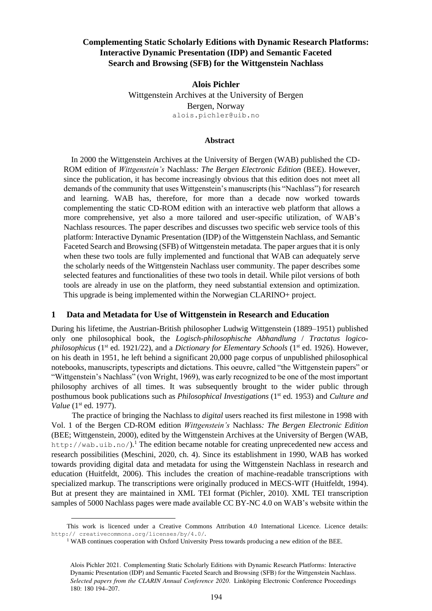# **Complementing Static Scholarly Editions with Dynamic Research Platforms: Interactive Dynamic Presentation (IDP) and Semantic Faceted Search and Browsing (SFB) for the Wittgenstein Nachlass**

**Alois Pichler** Wittgenstein Archives at the University of Bergen Bergen, Norway alois.pichler@uib.no

### **Abstract**

In 2000 the Wittgenstein Archives at the University of Bergen (WAB) published the CD-ROM edition of *Wittgenstein's* Nachlass*: The Bergen Electronic Edition* (BEE). However, since the publication, it has become increasingly obvious that this edition does not meet all demands of the community that uses Wittgenstein's manuscripts (his "Nachlass") for research and learning. WAB has, therefore, for more than a decade now worked towards complementing the static CD-ROM edition with an interactive web platform that allows a more comprehensive, yet also a more tailored and user-specific utilization, of WAB's Nachlass resources. The paper describes and discusses two specific web service tools of this platform: Interactive Dynamic Presentation (IDP) of the Wittgenstein Nachlass, and Semantic Faceted Search and Browsing (SFB) of Wittgenstein metadata. The paper argues that it is only when these two tools are fully implemented and functional that WAB can adequately serve the scholarly needs of the Wittgenstein Nachlass user community. The paper describes some selected features and functionalities of these two tools in detail. While pilot versions of both tools are already in use on the platform, they need substantial extension and optimization. This upgrade is being implemented within the Norwegian CLARINO+ project.

## **1 Data and Metadata for Use of Wittgenstein in Research and Education**

During his lifetime, the Austrian-British philosopher Ludwig Wittgenstein (1889–1951) published only one philosophical book, the *Logisch-philosophische Abhandlung* / *Tractatus logicophilosophicus* (1<sup>st</sup> ed. 1921/22), and a *Dictionary for Elementary Schools* (1<sup>st</sup> ed. 1926). However, on his death in 1951, he left behind a significant 20,000 page corpus of unpublished philosophical notebooks, manuscripts, typescripts and dictations. This oeuvre, called "the Wittgenstein papers" or "Wittgenstein's Nachlass" (von Wright, 1969), was early recognized to be one of the most important philosophy archives of all times. It was subsequently brought to the wider public through posthumous book publications such as *Philosophical Investigations* (1st ed. 1953) and *Culture and Value* (1<sup>st</sup> ed. 1977).

The practice of bringing the Nachlass to *digital* users reached its first milestone in 1998 with Vol. 1 of the Bergen CD-ROM edition *Wittgenstein's* Nachlass*: The Bergen Electronic Edition* (BEE; Wittgenstein, 2000), edited by the Wittgenstein Archives at the University of Bergen (WAB, http://wab.uib.no/).<sup>1</sup> The edition became notable for creating unprecedented new access and research possibilities (Meschini, 2020, ch. 4). Since its establishment in 1990, WAB has worked towards providing digital data and metadata for using the Wittgenstein Nachlass in research and education (Huitfeldt, 2006). This includes the creation of machine-readable transcriptions with specialized markup. The transcriptions were originally produced in MECS-WIT (Huitfeldt, 1994). But at present they are maintained in XML TEI format (Pichler, 2010). XML TEI transcription samples of 5000 Nachlass pages were made available CC BY-NC 4.0 on WAB's website within the

This work is licenced under a Creative Commons Attribution 4.0 International Licence. Licence details: http:// creativecommons.org/licenses/by/4.0/.

<sup>&</sup>lt;sup>1</sup> WAB continues cooperation with Oxford University Press towards producing a new edition of the BEE.

Alois Pichler 2021. Complementing Static Scholarly Editions with Dynamic Research Platforms: Interactive Dynamic Presentation (IDP) and Semantic Faceted Search and Browsing (SFB) for the Wittgenstein Nachlass. *Selected papers from the CLARIN Annual Conference 2020*. Linköping Electronic Conference Proceedings 180: 180 194–207.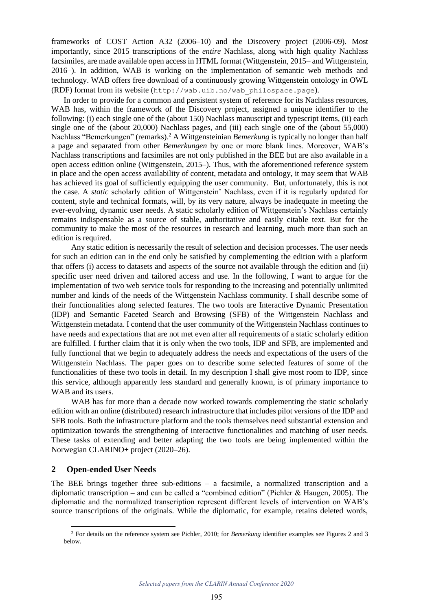frameworks of COST Action A32 (2006–10) and the Discovery project (2006-09). Most importantly, since 2015 transcriptions of the *entire* Nachlass, along with high quality Nachlass facsimiles, are made available open access in HTML format (Wittgenstein, 2015– and Wittgenstein, 2016–). In addition, WAB is working on the implementation of semantic web methods and technology. WAB offers free download of a continuously growing Wittgenstein ontology in OWL (RDF) format from its website (http://wab.uib.no/wab\_philospace.page).

In order to provide for a common and persistent system of reference for its Nachlass resources, WAB has, within the framework of the Discovery project, assigned a unique identifier to the following: (i) each single one of the (about 150) Nachlass manuscript and typescript items, (ii) each single one of the (about 20,000) Nachlass pages, and (iii) each single one of the (about 55,000) Nachlass "Bemerkungen" (remarks).<sup>2</sup> A Wittgensteinian *Bemerkung* is typically no longer than half a page and separated from other *Bemerkungen* by one or more blank lines. Moreover, WAB's Nachlass transcriptions and facsimiles are not only published in the BEE but are also available in a open access edition online (Wittgenstein, 2015–). Thus, with the aforementioned reference system in place and the open access availability of content, metadata and ontology, it may seem that WAB has achieved its goal of sufficiently equipping the user community. But, unfortunately, this is not the case. A *static* scholarly edition of Wittgenstein' Nachlass, even if it is regularly updated for content, style and technical formats, will, by its very nature, always be inadequate in meeting the ever-evolving, dynamic user needs. A static scholarly edition of Wittgenstein's Nachlass certainly remains indispensable as a source of stable, authoritative and easily citable text. But for the community to make the most of the resources in research and learning, much more than such an edition is required.

Any static edition is necessarily the result of selection and decision processes. The user needs for such an edition can in the end only be satisfied by complementing the edition with a platform that offers (i) access to datasets and aspects of the source not available through the edition and (ii) specific user need driven and tailored access and use. In the following, I want to argue for the implementation of two web service tools for responding to the increasing and potentially unlimited number and kinds of the needs of the Wittgenstein Nachlass community. I shall describe some of their functionalities along selected features. The two tools are Interactive Dynamic Presentation (IDP) and Semantic Faceted Search and Browsing (SFB) of the Wittgenstein Nachlass and Wittgenstein metadata. I contend that the user community of the Wittgenstein Nachlass continues to have needs and expectations that are not met even after all requirements of a static scholarly edition are fulfilled. I further claim that it is only when the two tools, IDP and SFB, are implemented and fully functional that we begin to adequately address the needs and expectations of the users of the Wittgenstein Nachlass. The paper goes on to describe some selected features of some of the functionalities of these two tools in detail. In my description I shall give most room to IDP, since this service, although apparently less standard and generally known, is of primary importance to WAB and its users.

WAB has for more than a decade now worked towards complementing the static scholarly edition with an online (distributed) research infrastructure that includes pilot versions of the IDP and SFB tools. Both the infrastructure platform and the tools themselves need substantial extension and optimization towards the strengthening of interactive functionalities and matching of user needs. These tasks of extending and better adapting the two tools are being implemented within the Norwegian CLARINO+ project (2020–26).

# **2 Open-ended User Needs**

The BEE brings together three sub-editions – a facsimile, a normalized transcription and a diplomatic transcription – and can be called a "combined edition" (Pichler & Haugen, 2005). The diplomatic and the normalized transcription represent different levels of intervention on WAB's source transcriptions of the originals. While the diplomatic, for example, retains deleted words,

<sup>2</sup> For details on the reference system see Pichler, 2010; for *Bemerkung* identifier examples see Figures 2 and 3 below.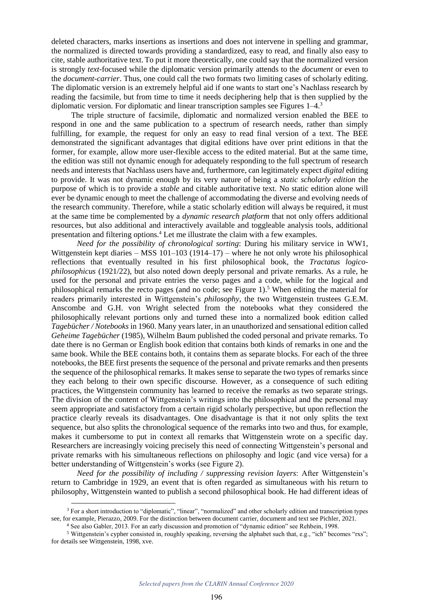deleted characters, marks insertions as insertions and does not intervene in spelling and grammar, the normalized is directed towards providing a standardized, easy to read, and finally also easy to cite, stable authoritative text. To put it more theoretically, one could say that the normalized version is strongly *text*-focused while the diplomatic version primarily attends to the *document* or even to the *document-carrier*. Thus, one could call the two formats two limiting cases of scholarly editing. The diplomatic version is an extremely helpful aid if one wants to start one's Nachlass research by reading the facsimile, but from time to time it needs deciphering help that is then supplied by the diplomatic version. For diplomatic and linear transcription samples see Figures 1–4.<sup>3</sup>

The triple structure of facsimile, diplomatic and normalized version enabled the BEE to respond in one and the same publication to a spectrum of research needs, rather than simply fulfilling, for example, the request for only an easy to read final version of a text. The BEE demonstrated the significant advantages that digital editions have over print editions in that the former, for example, allow more user-flexible access to the edited material. But at the same time, the edition was still not dynamic enough for adequately responding to the full spectrum of research needs and interests that Nachlass users have and, furthermore, can legitimately expect *digital* editing to provide. It was not dynamic enough by its very nature of being a *static scholarly edition* the purpose of which is to provide a *stable* and citable authoritative text. No static edition alone will ever be dynamic enough to meet the challenge of accommodating the diverse and evolving needs of the research community. Therefore, while a static scholarly edition will always be required, it must at the same time be complemented by a *dynamic research platform* that not only offers additional resources, but also additional and interactively available and toggleable analysis tools, additional presentation and filtering options.<sup>4</sup> Let me illustrate the claim with a few examples.

*Need for the possibility of chronological sorting*: During his military service in WW1, Wittgenstein kept diaries – MSS  $101-103$  (1914–17) – where he not only wrote his philosophical reflections that eventually resulted in his first philosophical book, the *Tractatus logicophilosophicus* (1921/22), but also noted down deeply personal and private remarks. As a rule, he used for the personal and private entries the verso pages and a code, while for the logical and philosophical remarks the recto pages (and no code; see Figure 1).<sup>5</sup> When editing the material for readers primarily interested in Wittgenstein's *philosophy*, the two Wittgenstein trustees G.E.M. Anscombe and G.H. von Wright selected from the notebooks what they considered the philosophically relevant portions only and turned these into a normalized book edition called *Tagebücher / Notebooks* in 1960. Many years later, in an unauthorized and sensational edition called *Geheime Tagebücher* (1985), Wilhelm Baum published the coded personal and private remarks. To date there is no German or English book edition that contains both kinds of remarks in one and the same book. While the BEE contains both, it contains them as separate blocks. For each of the three notebooks, the BEE first presents the sequence of the personal and private remarks and then presents the sequence of the philosophical remarks. It makes sense to separate the two types of remarks since they each belong to their own specific discourse. However, as a consequence of such editing practices, the Wittgenstein community has learned to receive the remarks as two separate strings. The division of the content of Wittgenstein's writings into the philosophical and the personal may seem appropriate and satisfactory from a certain rigid scholarly perspective, but upon reflection the practice clearly reveals its disadvantages. One disadvantage is that it not only splits the text sequence, but also splits the chronological sequence of the remarks into two and thus, for example, makes it cumbersome to put in context all remarks that Wittgenstein wrote on a specific day. Researchers are increasingly voicing precisely this need of connecting Wittgenstein's personal and private remarks with his simultaneous reflections on philosophy and logic (and vice versa) for a better understanding of Wittgenstein's works (see Figure 2).

*Need for the possibility of including / suppressing revision layers*: After Wittgenstein's return to Cambridge in 1929, an event that is often regarded as simultaneous with his return to philosophy, Wittgenstein wanted to publish a second philosophical book. He had different ideas of

<sup>3</sup> For a short introduction to "diplomatic", "linear", "normalized" and other scholarly edition and transcription types see, for example, Pierazzo, 2009. For the distinction between document carrier, document and text see Pichler, 2021.

<sup>4</sup> See also Gabler, 2013. For an early discussion and promotion of "dynamic edition" see Rehbein, 1998.

<sup>5</sup> Wittgenstein's cypher consisted in, roughly speaking, reversing the alphabet such that, e.g., "ich" becomes "rxs"; for details see Wittgenstein, 1998, xve.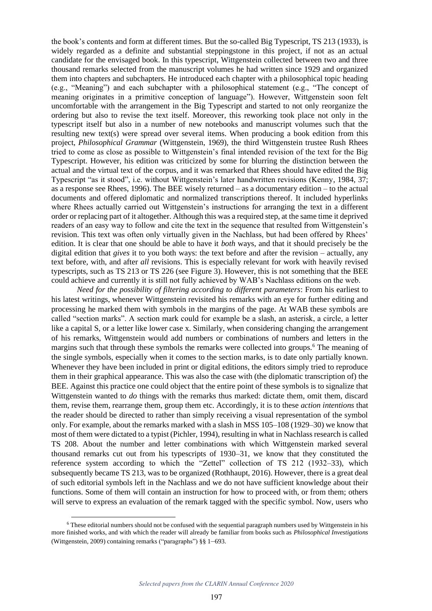the book's contents and form at different times. But the so-called Big Typescript, TS 213 (1933), is widely regarded as a definite and substantial steppingstone in this project, if not as an actual candidate for the envisaged book. In this typescript, Wittgenstein collected between two and three thousand remarks selected from the manuscript volumes he had written since 1929 and organized them into chapters and subchapters. He introduced each chapter with a philosophical topic heading (e.g., "Meaning") and each subchapter with a philosophical statement (e.g., "The concept of meaning originates in a primitive conception of language"). However, Wittgenstein soon felt uncomfortable with the arrangement in the Big Typescript and started to not only reorganize the ordering but also to revise the text itself. Moreover, this reworking took place not only in the typescript itself but also in a number of new notebooks and manuscript volumes such that the resulting new text(s) were spread over several items. When producing a book edition from this project, *Philosophical Grammar* (Wittgenstein, 1969), the third Wittgenstein trustee Rush Rhees tried to come as close as possible to Wittgenstein's final intended revision of the text for the Big Typescript. However, his edition was criticized by some for blurring the distinction between the actual and the virtual text of the corpus, and it was remarked that Rhees should have edited the Big Typescript "as it stood", i.e. without Wittgenstein's later handwritten revisions (Kenny, 1984, 37; as a response see Rhees, 1996). The BEE wisely returned – as a documentary edition – to the actual documents and offered diplomatic and normalized transcriptions thereof. It included hyperlinks where Rhees actually carried out Wittgenstein's instructions for arranging the text in a different order or replacing part of it altogether. Although this was a required step, at the same time it deprived readers of an easy way to follow and cite the text in the sequence that resulted from Wittgenstein's revision. This text was often only virtually given in the Nachlass, but had been offered by Rhees' edition. It is clear that one should be able to have it *both* ways, and that it should precisely be the digital edition that *gives* it to you both ways: the text before and after the revision – actually, any text before, with, and after *all* revisions. This is especially relevant for work with heavily revised typescripts, such as TS 213 or TS 226 (see Figure 3). However, this is not something that the BEE could achieve and currently it is still not fully achieved by WAB's Nachlass editions on the web.

*Need for the possibility of filtering according to different parameters*: From his earliest to his latest writings, whenever Wittgenstein revisited his remarks with an eye for further editing and processing he marked them with symbols in the margins of the page. At WAB these symbols are called "section marks". A section mark could for example be a slash, an asterisk, a circle, a letter like a capital S, or a letter like lower case x. Similarly, when considering changing the arrangement of his remarks, Wittgenstein would add numbers or combinations of numbers and letters in the margins such that through these symbols the remarks were collected into groups.<sup>6</sup> The meaning of the single symbols, especially when it comes to the section marks, is to date only partially known. Whenever they have been included in print or digital editions, the editors simply tried to reproduce them in their graphical appearance. This was also the case with (the diplomatic transcription of) the BEE. Against this practice one could object that the entire point of these symbols is to signalize that Wittgenstein wanted to *do* things with the remarks thus marked: dictate them, omit them, discard them, revise them, rearrange them, group them etc. Accordingly, it is to these *action intentions* that the reader should be directed to rather than simply receiving a visual representation of the symbol only. For example, about the remarks marked with a slash in MSS 105–108 (1929–30) we know that most of them were dictated to a typist (Pichler, 1994), resulting in what in Nachlass research is called TS 208. About the number and letter combinations with which Wittgenstein marked several thousand remarks cut out from his typescripts of 1930–31, we know that they constituted the reference system according to which the "Zettel" collection of TS 212 (1932–33), which subsequently became TS 213, was to be organized (Rothhaupt, 2016). However, there is a great deal of such editorial symbols left in the Nachlass and we do not have sufficient knowledge about their functions. Some of them will contain an instruction for how to proceed with, or from them; others will serve to express an evaluation of the remark tagged with the specific symbol. Now, users who

<sup>6</sup> These editorial numbers should not be confused with the sequential paragraph numbers used by Wittgenstein in his more finished works, and with which the reader will already be familiar from books such as *Philosophical Investigations* (Wittgenstein, 2009) containing remarks ("paragraphs") §§ 1–693.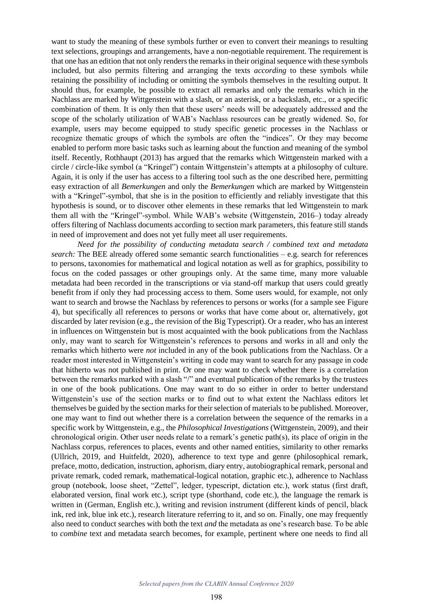want to study the meaning of these symbols further or even to convert their meanings to resulting text selections, groupings and arrangements, have a non-negotiable requirement. The requirement is that one has an edition that not only renders the remarks in their original sequence with these symbols included, but also permits filtering and arranging the texts *according* to these symbols while retaining the possibility of including or omitting the symbols themselves in the resulting output. It should thus, for example, be possible to extract all remarks and only the remarks which in the Nachlass are marked by Wittgenstein with a slash, or an asterisk, or a backslash, etc., or a specific combination of them. It is only then that these users' needs will be adequately addressed and the scope of the scholarly utilization of WAB's Nachlass resources can be greatly widened. So, for example, users may become equipped to study specific genetic processes in the Nachlass or recognize thematic groups of which the symbols are often the "indices". Or they may become enabled to perform more basic tasks such as learning about the function and meaning of the symbol itself. Recently, Rothhaupt (2013) has argued that the remarks which Wittgenstein marked with a circle / circle-like symbol (a "Kringel") contain Wittgenstein's attempts at a philosophy of culture. Again, it is only if the user has access to a filtering tool such as the one described here, permitting easy extraction of all *Bemerkungen* and only the *Bemerkungen* which are marked by Wittgenstein with a "Kringel"-symbol, that she is in the position to efficiently and reliably investigate that this hypothesis is sound, or to discover other elements in these remarks that led Wittgenstein to mark them all with the "Kringel"-symbol. While WAB's website (Wittgenstein, 2016–) today already offers filtering of Nachlass documents according to section mark parameters, this feature still stands in need of improvement and does not yet fully meet all user requirements.

*Need for the possibility of conducting metadata search / combined text and metadata search:* The BEE already offered some semantic search functionalities – e.g. search for references to persons, taxonomies for mathematical and logical notation as well as for graphics, possibility to focus on the coded passages or other groupings only. At the same time, many more valuable metadata had been recorded in the transcriptions or via stand-off markup that users could greatly benefit from if only they had processing access to them. Some users would, for example, not only want to search and browse the Nachlass by references to persons or works (for a sample see Figure 4), but specifically all references to persons or works that have come about or, alternatively, got discarded by later revision (e.g., the revision of the Big Typescript). Or a reader, who has an interest in influences on Wittgenstein but is most acquainted with the book publications from the Nachlass only, may want to search for Wittgenstein's references to persons and works in all and only the remarks which hitherto were *not* included in any of the book publications from the Nachlass. Or a reader most interested in Wittgenstein's writing in code may want to search for any passage in code that hitherto was not published in print. Or one may want to check whether there is a correlation between the remarks marked with a slash "/" and eventual publication of the remarks by the trustees in one of the book publications. One may want to do so either in order to better understand Wittgenstein's use of the section marks or to find out to what extent the Nachlass editors let themselves be guided by the section marks for their selection of materials to be published. Moreover, one may want to find out whether there is a correlation between the sequence of the remarks in a specific work by Wittgenstein, e.g., the *Philosophical Investigations* (Wittgenstein, 2009), and their chronological origin. Other user needs relate to a remark's genetic path(s), its place of origin in the Nachlass corpus, references to places, events and other named entities, similarity to other remarks (Ullrich, 2019, and Huitfeldt, 2020), adherence to text type and genre (philosophical remark, preface, motto, dedication, instruction, aphorism, diary entry, autobiographical remark, personal and private remark, coded remark, mathematical-logical notation, graphic etc.), adherence to Nachlass group (notebook, loose sheet, "Zettel", ledger, typescript, dictation etc.), work status (first draft, elaborated version, final work etc.), script type (shorthand, code etc.), the language the remark is written in (German, English etc.), writing and revision instrument (different kinds of pencil, black ink, red ink, blue ink etc.), research literature referring to it, and so on. Finally, one may frequently also need to conduct searches with both the text *and* the metadata as one's research base. To be able to *combine* text and metadata search becomes, for example, pertinent where one needs to find all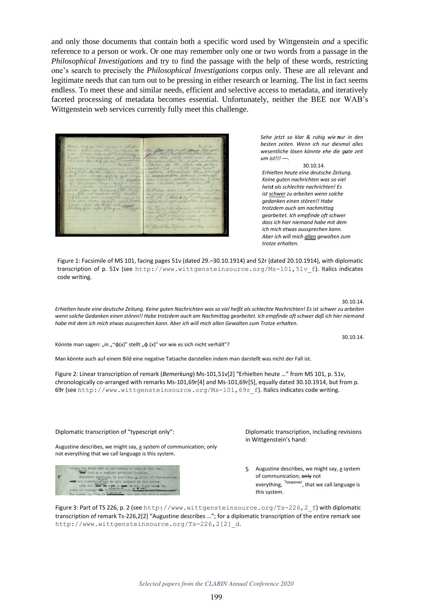and only those documents that contain both a specific word used by Wittgenstein *and* a specific reference to a person or work. Or one may remember only one or two words from a passage in the *Philosophical Investigations* and try to find the passage with the help of these words, restricting one's search to precisely the *Philosophical Investigations* corpus only. These are all relevant and legitimate needs that can turn out to be pressing in either research or learning. The list in fact seems endless. To meet these and similar needs, efficient and selective access to metadata, and iteratively faceted processing of metadata becomes essential. Unfortunately, neither the BEE nor WAB's Wittgenstein web services currently fully meet this challenge.

*Sehe jetzt so klar & ruhig wie nur in den besten zeiten. Wenn ich nur diesmal alles wesentliche lösen könnte ehe die gute zeit um ist!!! ––.*

30.10.14. *Erhielten heute eine deutsche Zeitung. Keine guten nachrichten was so viel heist als schlechte nachrichten! Es ist schwer zu arbeiten wenn solche gedanken einen stören!! Habe trotzdem auch am nachmittag gearbeitet. Ich empfinde oft schwer dass ich hier niemand habe mit dem ich mich etwas aussprechen kann. Aber ich will mich allen gewalten zum trotze erhalten.*

Figure 1: Facsimile of MS 101, facing pages 51v (dated 29.–30.10.1914) and 52r (dated 20.10.1914), with diplomatic transcription of p. 51v (see http://www.wittgensteinsource.org/Ms-101,51v f). Italics indicates code writing.

30.10.14.

30.10.14.

*Erhielten heute eine deutsche Zeitung. Keine guten Nachrichten was so viel heißt als schlechte Nachrichten! Es ist schwer zu arbeiten wenn solche Gedanken einen stören!! Habe trotzdem auch am Nachmittag gearbeitet. Ich empfinde oft schwer daß ich hier niemand habe mit dem ich mich etwas aussprechen kann. Aber ich will mich allen Gewalten zum Trotze erhalten.*

Könnte man sagen: "in "~φ(x)" stellt "φ.(x)" vor wie es sich nicht verhält"?

Man könnte auch auf einem Bild eine negative Tatsache darstellen indem man darstellt was nicht der Fall ist.

Figure 2: Linear transcription of remark (*Bemerkung*) Ms-101,51v[2] "Erhielten heute …" from MS 101, p. 51v, chronologically co-arranged with remarks Ms-101,69r[4] and Ms-101,69r[5], equally dated 30.10.1914, but from p. 69r (see http://www.wittgensteinsource.org/Ms-101,69r\_f). Italics indicates code writing.

#### Diplomatic transcription of "typescript only":

Augustine describes, we might say,  $\underline{a}$  system of communication; only not everything that we call language is this system.

|   | brings the stone that he has learned to bring at this call.   |
|---|---------------------------------------------------------------|
|   | this as a complete primitive language.                        |
| 5 | Augustine describes, we might say, a system of communication; |
|   | only not everything) that we call language is this system.    |
|   | (And this must as says in more so many cases whene the        |
|   | question arises, " a tals description be used on contract be  |
|   | The answer is, "Yes, it with the but only for this perceiv    |

Diplomatic transcription, including revisions in Wittgenstein's hand:

5 Augustine describes, we might say, a system of communication; only not everything, <sup>`however</sup>, that we call language is this system.

Figure 3: Part of TS 226, p. 2 (see http://www.wittgensteinsource.org/Ts-226, 2 f) with diplomatic transcription of remark Ts-226,2[2] "Augustine describes …"; for a diplomatic transcription of the entire remark see http://www.wittgensteinsource.org/Ts-226,2[2]\_d.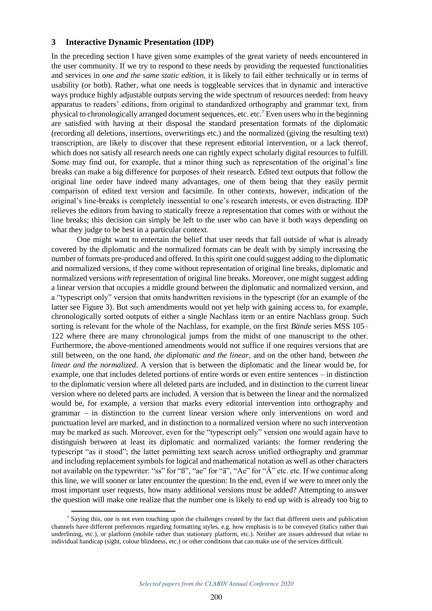# **3 Interactive Dynamic Presentation (IDP)**

In the preceding section I have given some examples of the great variety of needs encountered in the user community. If we try to respond to these needs by providing the requested functionalities and services in *one and the same static edition,* it is likely to fail either technically or in terms of usability (or both). Rather, what one needs is toggleable services that in dynamic and interactive ways produce highly adjustable outputs serving the wide spectrum of resources needed: from heavy apparatus to readers' editions, from original to standardized orthography and grammar text, from physical to chronologically arranged document sequences, etc. etc.<sup>7</sup> Even users who in the beginning are satisfied with having at their disposal the standard presentation formats of the diplomatic (recording all deletions, insertions, overwritings etc.) and the normalized (giving the resulting text) transcription, are likely to discover that these represent editorial intervention, or a lack thereof, which does not satisfy all research needs one can rightly expect scholarly digital resources to fulfill. Some may find out, for example, that a minor thing such as representation of the original's line breaks can make a big difference for purposes of their research. Edited text outputs that follow the original line order have indeed many advantages, one of them being that they easily permit comparison of edited text version and facsimile. In other contexts, however, indication of the original's line-breaks is completely inessential to one's research interests, or even distracting. IDP relieves the editors from having to statically freeze a representation that comes with or without the line breaks; this decision can simply be left to the user who can have it both ways depending on what they judge to be best in a particular context.

One might want to entertain the belief that user needs that fall outside of what is already covered by the diplomatic and the normalized formats can be dealt with by simply increasing the number of formats pre-produced and offered. In this spirit one could suggest adding to the diplomatic and normalized versions, if they come without representation of original line breaks, diplomatic and normalized versions *with* representation of original line breaks. Moreover, one might suggest adding a linear version that occupies a middle ground between the diplomatic and normalized version, and a "typescript only" version that omits handwritten revisions in the typescript (for an example of the latter see Figure 3). But such amendments would not yet help with gaining access to, for example, chronologically sorted outputs of either a single Nachlass item or an entire Nachlass group. Such sorting is relevant for the whole of the Nachlass, for example, on the first *Bände* series MSS 105– 122 where there are many chronological jumps from the midst of one manuscript to the other. Furthermore, the above-mentioned amendments would not suffice if one requires versions that are still between, on the one hand, *the diplomatic and the linear*, and on the other hand, between *the linear and the normalized*. A version that is between the diplomatic and the linear would be, for example, one that includes deleted portions of entire words or even entire sentences – in distinction to the diplomatic version where all deleted parts are included, and in distinction to the current linear version where no deleted parts are included. A version that is between the linear and the normalized would be, for example, a version that marks every editorial intervention into orthography and grammar – in distinction to the current linear version where only interventions on word and punctuation level are marked, and in distinction to a normalized version where no such intervention may be marked as such. Moreover, even for the "typescript only" version one would again have to distinguish between at least its diplomatic and normalized variants: the former rendering the typescript "as it stood"; the latter permitting text search across unified orthography and grammar and including replacement symbols for logical and mathematical notation as well as other characters not available on the typewriter: "ss" for "ß", "ae" for "ä", "Ae" for "Ä" etc. etc. If we continue along this line, we will sooner or later encounter the question: In the end, even if we were to meet only the most important user requests, how many additional versions must be added? Attempting to answer the question will make one realize that the number one is likely to end up with is already too big to

<sup>7</sup> Saying this, one is not even touching upon the challenges created by the fact that different users and publication channels have different preferences regarding formatting styles, e.g. how emphasis is to be conveyed (italics rather than underlining, etc.), or platform (mobile rather than stationary platform, etc.). Neither are issues addressed that relate to individual handicap (sight, colour blindness, etc.) or other conditions that can make use of the services difficult.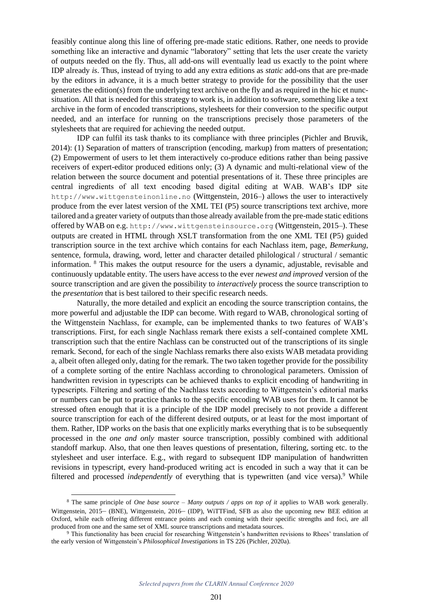feasibly continue along this line of offering pre-made static editions. Rather, one needs to provide something like an interactive and dynamic "laboratory" setting that lets the user create the variety of outputs needed on the fly. Thus, all add-ons will eventually lead us exactly to the point where IDP already *is*. Thus, instead of trying to add any extra editions as *static* add-ons that are pre-made by the editors in advance, it is a much better strategy to provide for the possibility that the user generates the edition(s) from the underlying text archive on the fly and as required in the hic et nuncsituation. All that is needed for this strategy to work is, in addition to software, something like a text archive in the form of encoded transcriptions, stylesheets for their conversion to the specific output needed, and an interface for running on the transcriptions precisely those parameters of the stylesheets that are required for achieving the needed output.

IDP can fulfil its task thanks to its compliance with three principles (Pichler and Bruvik, 2014): (1) Separation of matters of transcription (encoding, markup) from matters of presentation; (2) Empowerment of users to let them interactively co-produce editions rather than being passive receivers of expert-editor produced editions only; (3) A dynamic and multi-relational view of the relation between the source document and potential presentations of it. These three principles are central ingredients of all text encoding based digital editing at WAB. WAB's IDP site http://www.wittgensteinonline.no (Wittgenstein, 2016–) allows the user to interactively produce from the ever latest version of the XML TEI (P5) source transcriptions text archive, more tailored and a greater variety of outputs than those already available from the pre-made static editions offered by WAB on e.g. http://www.wittgensteinsource.org (Wittgenstein, 2015–). These outputs are created in HTML through XSLT transformation from the one XML TEI (P5) guided transcription source in the text archive which contains for each Nachlass item, page, *Bemerkung*, sentence, formula, drawing, word, letter and character detailed philological / structural / semantic information. <sup>8</sup> This makes the output resource for the users a dynamic, adjustable, revisable and continuously updatable entity. The users have access to the ever *newest and improved* version of the source transcription and are given the possibility to *interactively* process the source transcription to the *presentation* that is best tailored to their specific research needs.

Naturally, the more detailed and explicit an encoding the source transcription contains, the more powerful and adjustable the IDP can become. With regard to WAB, chronological sorting of the Wittgenstein Nachlass, for example, can be implemented thanks to two features of WAB's transcriptions. First, for each single Nachlass remark there exists a self-contained complete XML transcription such that the entire Nachlass can be constructed out of the transcriptions of its single remark. Second, for each of the single Nachlass remarks there also exists WAB metadata providing a, albeit often alleged only, dating for the remark. The two taken together provide for the possibility of a complete sorting of the entire Nachlass according to chronological parameters. Omission of handwritten revision in typescripts can be achieved thanks to explicit encoding of handwriting in typescripts. Filtering and sorting of the Nachlass texts according to Wittgenstein's editorial marks or numbers can be put to practice thanks to the specific encoding WAB uses for them. It cannot be stressed often enough that it is a principle of the IDP model precisely to not provide a different source transcription for each of the different desired outputs, or at least for the most important of them. Rather, IDP works on the basis that one explicitly marks everything that is to be subsequently processed in the *one and only* master source transcription, possibly combined with additional standoff markup. Also, that one then leaves questions of presentation, filtering, sorting etc. to the stylesheet and user interface. E.g., with regard to subsequent IDP manipulation of handwritten revisions in typescript, every hand-produced writing act is encoded in such a way that it can be filtered and processed *independently* of everything that is typewritten (and vice versa).<sup>9</sup> While

<sup>8</sup> The same principle of *One base source – Many outputs / apps on top of it* applies to WAB work generally. Wittgenstein, 2015– (BNE), Wittgenstein, 2016– (IDP), WiTTFind, SFB as also the upcoming new BEE edition at Oxford, while each offering different entrance points and each coming with their specific strengths and foci, are all produced from one and the same set of XML source transcriptions and metadata sources.

<sup>&</sup>lt;sup>9</sup> This functionality has been crucial for researching Wittgenstein's handwritten revisions to Rhees' translation of the early version of Wittgenstein's *Philosophical Investigations* in TS 226 (Pichler, 2020a).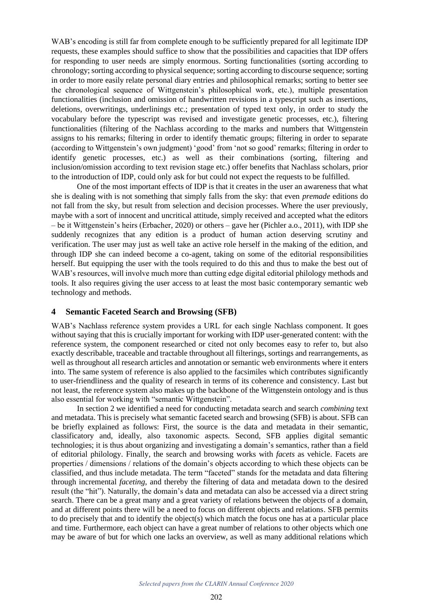WAB's encoding is still far from complete enough to be sufficiently prepared for all legitimate IDP requests, these examples should suffice to show that the possibilities and capacities that IDP offers for responding to user needs are simply enormous. Sorting functionalities (sorting according to chronology; sorting according to physical sequence; sorting according to discourse sequence; sorting in order to more easily relate personal diary entries and philosophical remarks; sorting to better see the chronological sequence of Wittgenstein's philosophical work, etc.), multiple presentation functionalities (inclusion and omission of handwritten revisions in a typescript such as insertions, deletions, overwritings, underlinings etc.; presentation of typed text only, in order to study the vocabulary before the typescript was revised and investigate genetic processes, etc.), filtering functionalities (filtering of the Nachlass according to the marks and numbers that Wittgenstein assigns to his remarks; filtering in order to identify thematic groups; filtering in order to separate (according to Wittgenstein's own judgment) 'good' from 'not so good' remarks; filtering in order to identify genetic processes, etc.) as well as their combinations (sorting, filtering and inclusion/omission according to text revision stage etc.) offer benefits that Nachlass scholars, prior to the introduction of IDP, could only ask for but could not expect the requests to be fulfilled.

One of the most important effects of IDP is that it creates in the user an awareness that what she is dealing with is not something that simply falls from the sky: that even *premade* editions do not fall from the sky, but result from selection and decision processes. Where the user previously, maybe with a sort of innocent and uncritical attitude, simply received and accepted what the editors – be it Wittgenstein's heirs (Erbacher, 2020) or others – gave her (Pichler a.o., 2011), with IDP she suddenly recognizes that any edition is a product of human action deserving scrutiny and verification. The user may just as well take an active role herself in the making of the edition, and through IDP she can indeed become a co-agent, taking on some of the editorial responsibilities herself. But equipping the user with the tools required to do this and thus to make the best out of WAB's resources, will involve much more than cutting edge digital editorial philology methods and tools. It also requires giving the user access to at least the most basic contemporary semantic web technology and methods.

## **4 Semantic Faceted Search and Browsing (SFB)**

WAB's Nachlass reference system provides a URL for each single Nachlass component. It goes without saying that this is crucially important for working with IDP user-generated content: with the reference system, the component researched or cited not only becomes easy to refer to, but also exactly describable, traceable and tractable throughout all filterings, sortings and rearrangements, as well as throughout all research articles and annotation or semantic web environments where it enters into. The same system of reference is also applied to the facsimiles which contributes significantly to user-friendliness and the quality of research in terms of its coherence and consistency. Last but not least, the reference system also makes up the backbone of the Wittgenstein ontology and is thus also essential for working with "semantic Wittgenstein".

In section 2 we identified a need for conducting metadata search and search *combining* text and metadata. This is precisely what semantic faceted search and browsing (SFB) is about. SFB can be briefly explained as follows: First, the source is the data and metadata in their semantic, classificatory and, ideally, also taxonomic aspects. Second, SFB applies digital semantic technologies; it is thus about organizing and investigating a domain's semantics, rather than a field of editorial philology. Finally, the search and browsing works with *facets* as vehicle. Facets are properties / dimensions / relations of the domain's objects according to which these objects can be classified, and thus include metadata. The term "faceted" stands for the metadata and data filtering through incremental *faceting*, and thereby the filtering of data and metadata down to the desired result (the "hit"). Naturally, the domain's data and metadata can also be accessed via a direct string search. There can be a great many and a great variety of relations between the objects of a domain, and at different points there will be a need to focus on different objects and relations. SFB permits to do precisely that and to identify the object(s) which match the focus one has at a particular place and time. Furthermore, each object can have a great number of relations to other objects which one may be aware of but for which one lacks an overview, as well as many additional relations which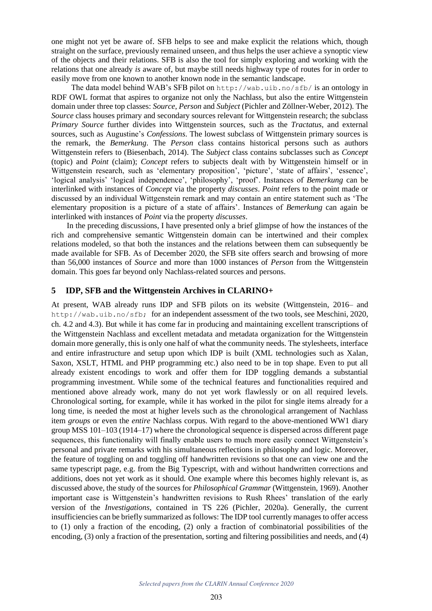one might not yet be aware of. SFB helps to see and make explicit the relations which, though straight on the surface, previously remained unseen, and thus helps the user achieve a synoptic view of the objects and their relations. SFB is also the tool for simply exploring and working with the relations that one already *is* aware of, but maybe still needs highway type of routes for in order to easily move from one known to another known node in the semantic landscape.

The data model behind WAB's SFB pilot on http://wab.uib.no/sfb/ is an ontology in RDF OWL format that aspires to organize not only the Nachlass, but also the entire Wittgenstein domain under three top classes: *Source*, *Person* and *Subject* (Pichler and Zöllner-Weber, 2012). The *Source* class houses primary and secondary sources relevant for Wittgenstein research; the subclass *Primary Source* further divides into Wittgenstein sources, such as the *Tractatus*, and external sources, such as Augustine's *Confessions*. The lowest subclass of Wittgenstein primary sources is the remark, the *Bemerkung*. The *Person* class contains historical persons such as authors Wittgenstein refers to (Biesenbach, 2014). The *Subject* class contains subclasses such as *Concept*  (topic) and *Point* (claim); *Concept* refers to subjects dealt with by Wittgenstein himself or in Wittgenstein research, such as 'elementary proposition', 'picture', 'state of affairs', 'essence', 'logical analysis' 'logical independence', 'philosophy', 'proof'. Instances of *Bemerkung* can be interlinked with instances of *Concept* via the property *discusses*. *Point* refers to the point made or discussed by an individual Wittgenstein remark and may contain an entire statement such as 'The elementary proposition is a picture of a state of affairs'. Instances of *Bemerkung* can again be interlinked with instances of *Point* via the property *discusses*.

In the preceding discussions, I have presented only a brief glimpse of how the instances of the rich and comprehensive semantic Wittgenstein domain can be intertwined and their complex relations modeled, so that both the instances and the relations between them can subsequently be made available for SFB. As of December 2020, the SFB site offers search and browsing of more than 56,000 instances of *Source* and more than 1000 instances of *Person* from the Wittgenstein domain. This goes far beyond only Nachlass-related sources and persons.

# **5 IDP, SFB and the Wittgenstein Archives in CLARINO+**

At present, WAB already runs IDP and SFB pilots on its website (Wittgenstein, 2016– and http://wab.uib.no/sfb; for an independent assessment of the two tools, see Meschini, 2020, ch. 4.2 and 4.3). But while it has come far in producing and maintaining excellent transcriptions of the Wittgenstein Nachlass and excellent metadata and metadata organization for the Wittgenstein domain more generally, this is only one half of what the community needs. The stylesheets, interface and entire infrastructure and setup upon which IDP is built (XML technologies such as Xalan, Saxon, XSLT, HTML and PHP programming etc.) also need to be in top shape. Even to put all already existent encodings to work and offer them for IDP toggling demands a substantial programming investment. While some of the technical features and functionalities required and mentioned above already work, many do not yet work flawlessly or on all required levels. Chronological sorting, for example, while it has worked in the pilot for single items already for a long time, is needed the most at higher levels such as the chronological arrangement of Nachlass item *groups* or even the *entire* Nachlass corpus. With regard to the above-mentioned WW1 diary group MSS 101–103 (1914–17) where the chronological sequence is dispersed across different page sequences, this functionality will finally enable users to much more easily connect Wittgenstein's personal and private remarks with his simultaneous reflections in philosophy and logic. Moreover, the feature of toggling on and toggling off handwritten revisions so that one can view one and the same typescript page, e.g. from the Big Typescript, with and without handwritten corrections and additions, does not yet work as it should. One example where this becomes highly relevant is, as discussed above, the study of the sources for *Philosophical Grammar* (Wittgenstein, 1969). Another important case is Wittgenstein's handwritten revisions to Rush Rhees' translation of the early version of the *Investigations*, contained in TS 226 (Pichler, 2020a). Generally, the current insufficiencies can be briefly summarized as follows: The IDP tool currently manages to offer access to (1) only a fraction of the encoding, (2) only a fraction of combinatorial possibilities of the encoding, (3) only a fraction of the presentation, sorting and filtering possibilities and needs, and (4)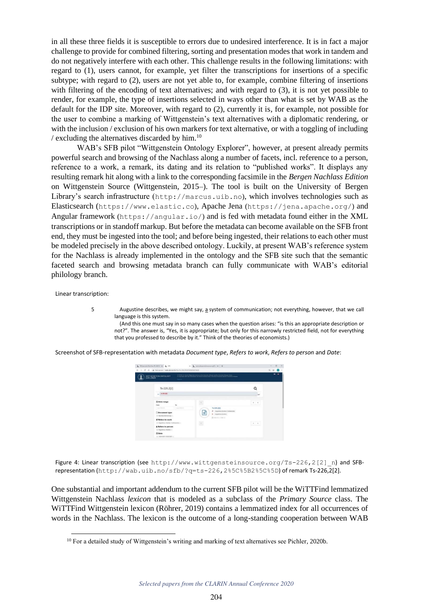in all these three fields it is susceptible to errors due to undesired interference. It is in fact a major challenge to provide for combined filtering, sorting and presentation modes that work in tandem and do not negatively interfere with each other. This challenge results in the following limitations: with regard to (1), users cannot, for example, yet filter the transcriptions for insertions of a specific subtype; with regard to (2), users are not yet able to, for example, combine filtering of insertions with filtering of the encoding of text alternatives; and with regard to (3), it is not yet possible to render, for example, the type of insertions selected in ways other than what is set by WAB as the default for the IDP site. Moreover, with regard to (2), currently it is, for example, not possible for the user to combine a marking of Wittgenstein's text alternatives with a diplomatic rendering, or with the inclusion / exclusion of his own markers for text alternative, or with a toggling of including / excluding the alternatives discarded by him. $^{10}$ 

WAB's SFB pilot "Wittgenstein Ontology Explorer", however, at present already permits powerful search and browsing of the Nachlass along a number of facets, incl. reference to a person, reference to a work, a remark, its dating and its relation to "published works". It displays any resulting remark hit along with a link to the corresponding facsimile in the *Bergen Nachlass Edition* on Wittgenstein Source (Wittgenstein, 2015–). The tool is built on the University of Bergen Library's search infrastructure (http://marcus.uib.no), which involves technologies such as Elasticsearch (https://www.elastic.co), Apache Jena (https://jena.apache.org/) and Angular framework (https://angular.io/) and is fed with metadata found either in the XML transcriptions or in standoff markup. But before the metadata can become available on the SFB front end, they must be ingested into the tool; and before being ingested, their relations to each other must be modeled precisely in the above described ontology. Luckily, at present WAB's reference system for the Nachlass is already implemented in the ontology and the SFB site such that the semantic faceted search and browsing metadata branch can fully communicate with WAB's editorial philology branch.

Linear transcription:

5 Augustine describes, we might say, a system of communication; not everything, however, that we call language is this system.

 (And this one must say in so many cases when the question arises: "is this an appropriate description or not?". The answer is, "Yes, it is appropriate; but only for this narrowly restricted field, not for everything that you professed to describe by it." Think of the theories of economists.)

Screenshot of SFB-representation with metadata *Document type*, *Refers to work*, *Refers to person* and *Date*:



Figure 4: Linear transcription (see http://www.wittgensteinsource.org/Ts-226,2[2] n) and SFBrepresentation (http://wab.uib.no/sfb/?q=ts-226,2%5C%5B2%5C%5D) of remark Ts-226,2[2].

One substantial and important addendum to the current SFB pilot will be the WiTTFind lemmatized Wittgenstein Nachlass *lexicon* that is modeled as a subclass of the *Primary Source* class. The WiTTFind Wittgenstein lexicon (Röhrer, 2019) contains a lemmatized index for all occurrences of words in the Nachlass. The lexicon is the outcome of a long-standing cooperation between WAB

<sup>&</sup>lt;sup>10</sup> For a detailed study of Wittgenstein's writing and marking of text alternatives see Pichler, 2020b.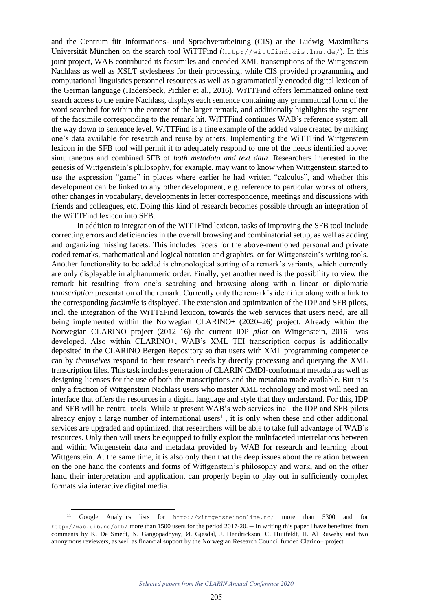and the Centrum für Informations- und Sprachverarbeitung (CIS) at the Ludwig Maximilians Universität München on the search tool WiTTFind (http://wittfind.cis.lmu.de/). In this joint project, WAB contributed its facsimiles and encoded XML transcriptions of the Wittgenstein Nachlass as well as XSLT stylesheets for their processing, while CIS provided programming and computational linguistics personnel resources as well as a grammatically encoded digital lexicon of the German language (Hadersbeck, Pichler et al., 2016). WiTTFind offers lemmatized online text search access to the entire Nachlass, displays each sentence containing any grammatical form of the word searched for within the context of the larger remark, and additionally highlights the segment of the facsimile corresponding to the remark hit. WiTTFind continues WAB's reference system all the way down to sentence level. WiTTFind is a fine example of the added value created by making one's data available for research and reuse by others. Implementing the WiTTFind Wittgenstein lexicon in the SFB tool will permit it to adequately respond to one of the needs identified above: simultaneous and combined SFB of *both metadata and text data*. Researchers interested in the genesis of Wittgenstein's philosophy, for example, may want to know when Wittgenstein started to use the expression "game" in places where earlier he had written "calculus", and whether this development can be linked to any other development, e.g. reference to particular works of others, other changes in vocabulary, developments in letter correspondence, meetings and discussions with friends and colleagues, etc. Doing this kind of research becomes possible through an integration of the WiTTFind lexicon into SFB.

In addition to integration of the WiTTFind lexicon, tasks of improving the SFB tool include correcting errors and deficiencies in the overall browsing and combinatorial setup, as well as adding and organizing missing facets. This includes facets for the above-mentioned personal and private coded remarks, mathematical and logical notation and graphics, or for Wittgenstein's writing tools. Another functionality to be added is chronological sorting of a remark's variants, which currently are only displayable in alphanumeric order. Finally, yet another need is the possibility to view the remark hit resulting from one's searching and browsing along with a linear or diplomatic *transcription* presentation of the remark. Currently only the remark's identifier along with a link to the corresponding *facsimile* is displayed. The extension and optimization of the IDP and SFB pilots, incl. the integration of the WiTTaFind lexicon, towards the web services that users need, are all being implemented within the Norwegian CLARINO+ (2020–26) project. Already within the Norwegian CLARINO project (2012–16) the current IDP *pilot* on Wittgenstein, 2016– was developed. Also within CLARINO+, WAB's XML TEI transcription corpus is additionally deposited in the CLARINO Bergen Repository so that users with XML programming competence can by *themselves* respond to their research needs by directly processing and querying the XML transcription files. This task includes generation of CLARIN CMDI-conformant metadata as well as designing licenses for the use of both the transcriptions and the metadata made available. But it is only a fraction of Wittgenstein Nachlass users who master XML technology and most will need an interface that offers the resources in a digital language and style that they understand. For this, IDP and SFB will be central tools. While at present WAB's web services incl. the IDP and SFB pilots already enjoy a large number of international users<sup>11</sup>, it is only when these and other additional services are upgraded and optimized, that researchers will be able to take full advantage of WAB's resources. Only then will users be equipped to fully exploit the multifaceted interrelations between and within Wittgenstein data and metadata provided by WAB for research and learning about Wittgenstein. At the same time, it is also only then that the deep issues about the relation between on the one hand the contents and forms of Wittgenstein's philosophy and work, and on the other hand their interpretation and application, can properly begin to play out in sufficiently complex formats via interactive digital media.

<sup>11</sup> Google Analytics lists for http://wittgensteinonline.no/ more than 5300 and for http://wab.uib.no/sfb/ more than 1500 users for the period 2017-20. – In writing this paper I have benefitted from comments by K. De Smedt, N. Gangopadhyay, Ø. Gjesdal, J. Hendrickson, C. Huitfeldt, H. Al Ruwehy and two anonymous reviewers, as well as financial support by the Norwegian Research Council funded Clarino+ project.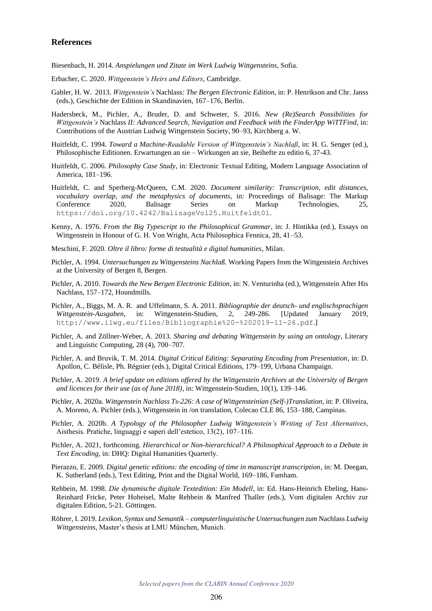### **References**

Biesenbach, H. 2014. *Anspielungen und Zitate im Werk Ludwig Wittgensteins*, Sofia.

- Erbacher, C. 2020. *Wittgenstein's Heirs and Editors*, Cambridge.
- Gabler, H. W. 2013. *Wittgenstein's* Nachlass*: The Bergen Electronic Edition*, in: P. Henrikson and Chr. Janss (eds.), Geschichte der Edition in Skandinavien, 167–176, Berlin.
- Hadersbeck, M., Pichler, A., Bruder, D. and Schweter, S. 2016. *New (Re)Search Possibilities for Wittgenstein's* Nachlass *II: Advanced Search, Navigation and Feedback with the FinderApp WiTTFind*, in: Contributions of the Austrian Ludwig Wittgenstein Society, 90–93, Kirchberg a. W.
- Huitfeldt, C. 1994. *Toward a Machine-Readable Version of Wittgenstein's Nachlaß*, in: H. G. Senger (ed.), Philosophische Editionen. Erwartungen an sie – Wirkungen an sie, Beihefte zu editio 6, 37-43.
- Huitfeldt, C. 2006. *Philosophy Case Study,* in: Electronic Textual Editing, Modern Language Association of America, 181–196.
- Huitfeldt, C. and Sperberg-McQueen, C.M. 2020. *Document similarity: Transcription, edit distances, vocabulary overlap, and the metaphysics of documents*, in: Proceedings of Balisage: The Markup Conference 2020, Balisage Series on Markup Technologies, 25, https://doi.org/10.4242/BalisageVol25.Huitfeldt01.
- Kenny, A. 1976. *From the Big Typescript to the Philosophical Grammar*, in: J. Hintikka (ed.), Essays on Wittgenstein in Honour of G. H. Von Wright, Acta Philosophica Fennica, 28, 41–53.
- Meschini, F. 2020. *Oltre il libro: forme di testualità e digital humanities*, Milan.
- Pichler, A. 1994. *Untersuchungen zu Wittgensteins Nachlaß.* Working Papers from the Wittgenstein Archives at the University of Bergen 8, Bergen.
- Pichler, A. 2010. *Towards the New Bergen Electronic Edition*, in: N. Venturinha (ed.), Wittgenstein After His Nachlass, 157–172, Houndmills.
- Pichler, A., Biggs, M. A. R. and Uffelmann, S. A. 2011. *Bibliographie der deutsch- und englischsprachigen Wittgenstein-Ausgaben*, in: Wittgenstein-Studien, 2, 249-286. [Updated January 2019, http://www.ilwg.eu/files/Bibliographie%20-%202019-11-26.pdf.]
- Pichler, A. and Zöllner-Weber, A. 2013. *Sharing and debating Wittgenstein by using an ontology*, Literary and Linguistic Computing, 28 (4), 700–707.
- Pichler, A. and Bruvik, T. M. 2014. *Digital Critical Editing: Separating Encoding from Presentation*, in: D. Apollon, C. Bélisle, Ph. Régnier (eds.), Digital Critical Editions, 179–199, Urbana Champaign.
- Pichler, A. 2019. *A brief update on editions offered by the Wittgenstein Archives at the University of Bergen and licences for their use (as of June 2018)*, in: Wittgenstein-Studien, 10(1), 139–146.
- Pichler, A. 2020a. *Wittgenstein Nachlass Ts-226: A case of Wittgensteinian (Self-)Translation*, in: P. Oliveira, A. Moreno, A. Pichler (eds.), Wittgenstein in /on translation, Colecao CLE 86, 153–188, Campinas.
- Pichler, A. 2020b. *A Typology of the Philosopher Ludwig Wittgenstein's Writing of Text Alternatives*, Aisthesis. Pratiche, linguaggi e saperi dell'estetico, 13(2), 107–116.
- Pichler, A. 2021, forthcoming. *Hierarchical or Non-hierarchical? A Philosophical Approach to a Debate in Text Encoding*, in: DHQ: Digital Humanities Quarterly.
- Pierazzo, E. 2009. *Digital genetic editions: the encoding of time in manuscript transcription*, in: M. Deegan, K. Sutherland (eds.), Text Editing, Print and the Digital World, 169–186, Famham.
- Rehbein, M. 1998. *Die dynamische digitale Textedition: Ein Modell*, in: Ed. Hans-Heinrich Ebeling, Hans-Reinhard Fricke, Peter Hoheisel, Malte Rehbein & Manfred Thaller (eds.), Vom digitalen Archiv zur digitalen Edition, 5-21. Göttingen.
- Röhrer, I. 2019. *Lexikon, Syntax und Semantik computerlinguistische Untersuchungen zum* Nachlass *Ludwig Wittgensteins*, Master's thesis at LMU München, Munich.